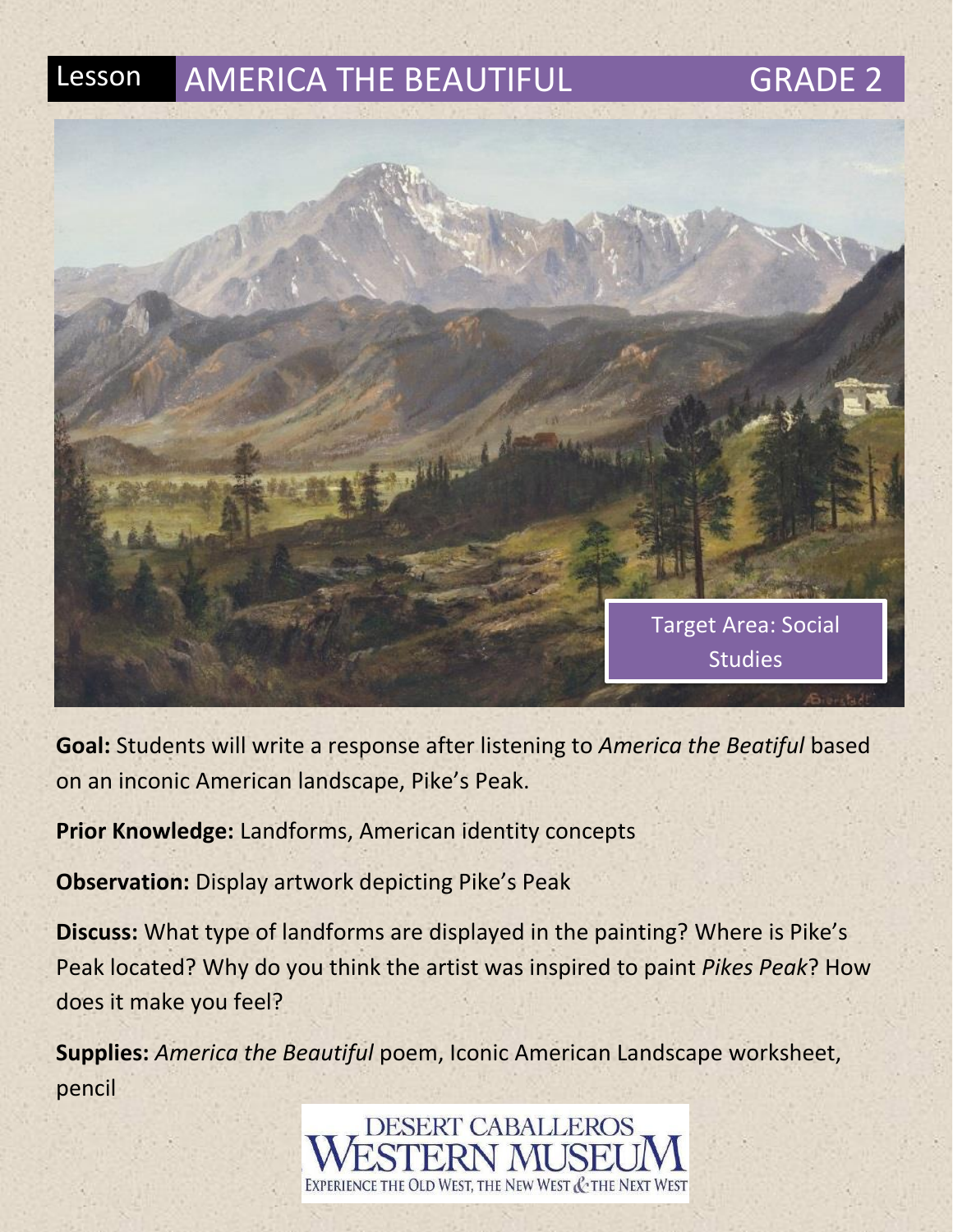

**Goal:** Students will write a response after listening to *America the Beatiful* based on an inconic American landscape, Pike's Peak.

**Prior Knowledge:** Landforms, American identity concepts

**Observation:** Display artwork depicting Pike's Peak

**Discuss:** What type of landforms are displayed in the painting? Where is Pike's Peak located? Why do you think the artist was inspired to paint *Pikes Peak*? How does it make you feel?

**Supplies:** *America the Beautiful* poem, Iconic American Landscape worksheet, pencil

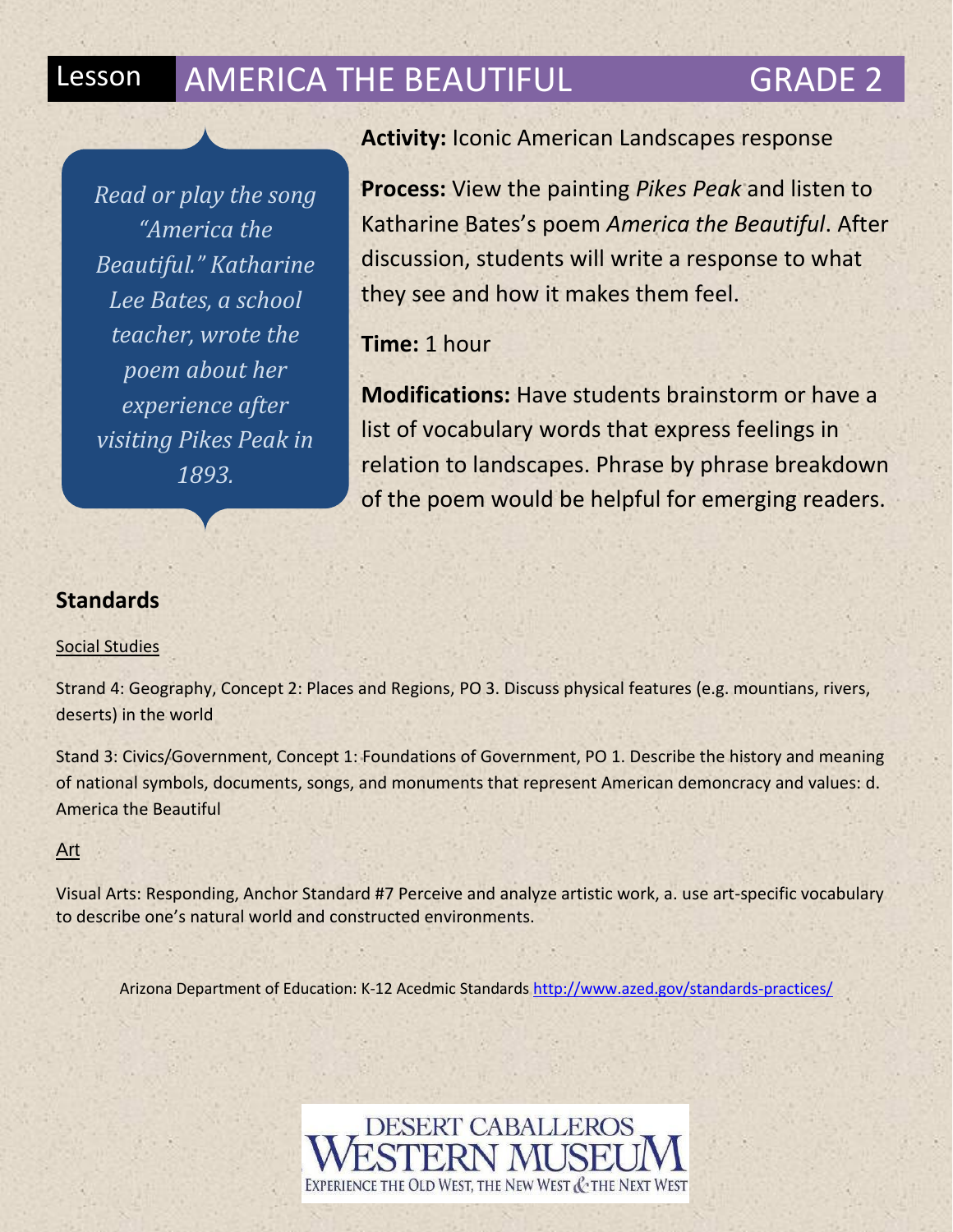*Read or play the song "America the Beautiful." Katharine Lee Bates, a school teacher, wrote the poem about her experience after visiting Pikes Peak in 1893.*

## **Activity:** Iconic American Landscapes response

**Process:** View the painting *Pikes Peak* and listen to Katharine Bates's poem *America the Beautiful*. After discussion, students will write a response to what they see and how it makes them feel.

**Time:** 1 hour

**Modifications:** Have students brainstorm or have a list of vocabulary words that express feelings in relation to landscapes. Phrase by phrase breakdown of the poem would be helpful for emerging readers.

## **Standards**

## Social Studies

Strand 4: Geography, Concept 2: Places and Regions, PO 3. Discuss physical features (e.g. mountians, rivers, deserts) in the world

Stand 3: Civics/Government, Concept 1: Foundations of Government, PO 1. Describe the history and meaning of national symbols, documents, songs, and monuments that represent American demoncracy and values: d. America the Beautiful

## Art

Visual Arts: Responding, Anchor Standard #7 Perceive and analyze artistic work, a. use art-specific vocabulary to describe one's natural world and constructed environments.

Arizona Department of Education: K-12 Acedmic Standard[s http://www.azed.gov/standards-practices/](http://www.azed.gov/standards-practices/)

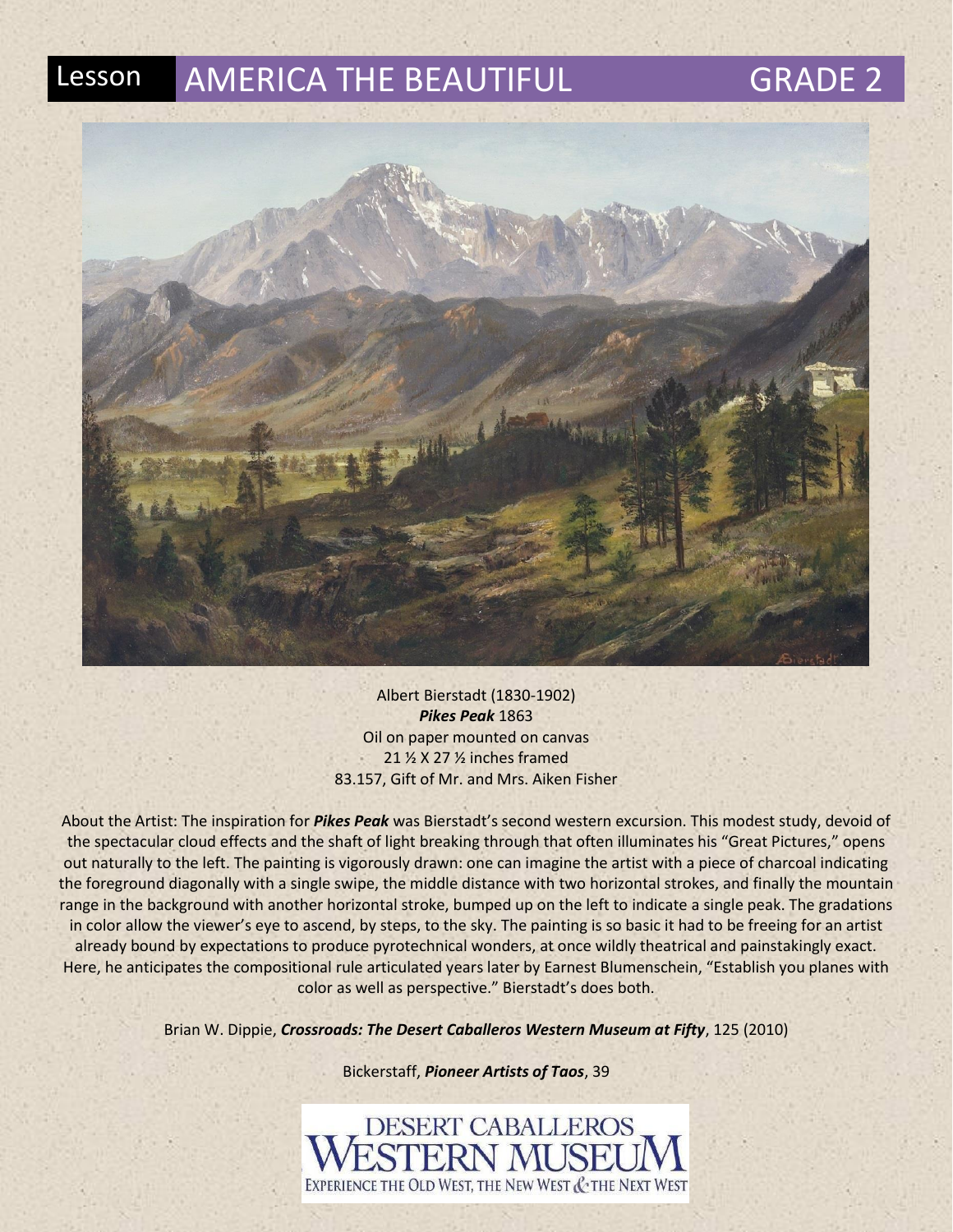



Albert Bierstadt (1830-1902) *Pikes Peak* 1863 Oil on paper mounted on canvas 21 ½ X 27 ½ inches framed 83.157, Gift of Mr. and Mrs. Aiken Fisher

About the Artist: The inspiration for *Pikes Peak* was Bierstadt's second western excursion. This modest study, devoid of the spectacular cloud effects and the shaft of light breaking through that often illuminates his "Great Pictures," opens out naturally to the left. The painting is vigorously drawn: one can imagine the artist with a piece of charcoal indicating the foreground diagonally with a single swipe, the middle distance with two horizontal strokes, and finally the mountain range in the background with another horizontal stroke, bumped up on the left to indicate a single peak. The gradations in color allow the viewer's eye to ascend, by steps, to the sky. The painting is so basic it had to be freeing for an artist already bound by expectations to produce pyrotechnical wonders, at once wildly theatrical and painstakingly exact. Here, he anticipates the compositional rule articulated years later by Earnest Blumenschein, "Establish you planes with color as well as perspective." Bierstadt's does both.

Brian W. Dippie, *Crossroads: The Desert Caballeros Western Museum at Fifty*, 125 (2010)

Bickerstaff, *Pioneer Artists of Taos*, 39

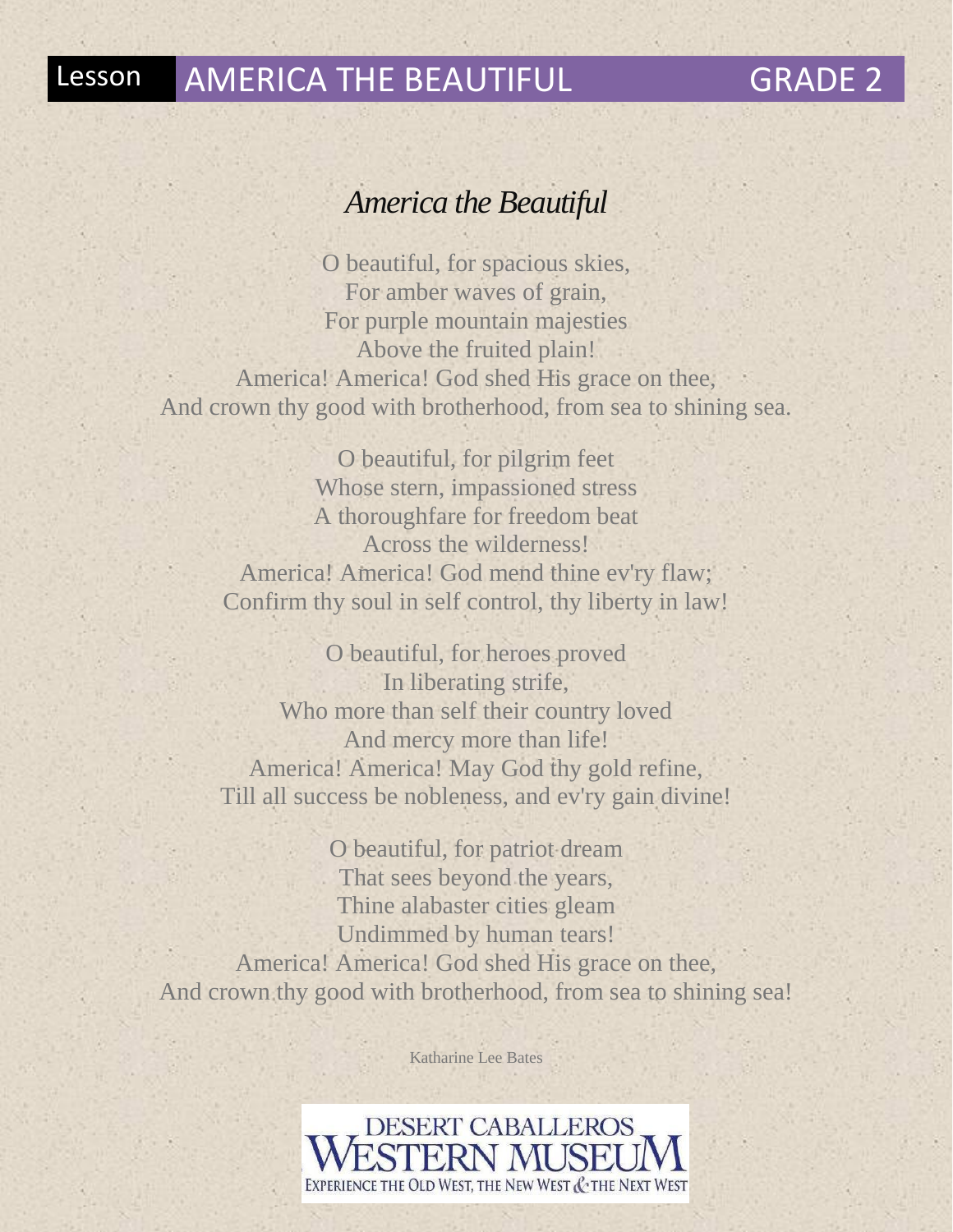## *America the Beautiful*

O beautiful, for spacious skies, For amber waves of grain, For purple mountain majesties Above the fruited plain! America! America! God shed His grace on thee, And crown thy good with brotherhood, from sea to shining sea.

O beautiful, for pilgrim feet Whose stern, impassioned stress A thoroughfare for freedom beat Across the wilderness! America! America! God mend thine ev'ry flaw; Confirm thy soul in self control, thy liberty in law!

O beautiful, for heroes proved In liberating strife, Who more than self their country loved And mercy more than life! America! America! May God thy gold refine, Till all success be nobleness, and ev'ry gain divine!

O beautiful, for patriot dream That sees beyond the years, Thine alabaster cities gleam Undimmed by human tears! America! America! God shed His grace on thee, And crown thy good with brotherhood, from sea to shining sea!

Katharine Lee Bates

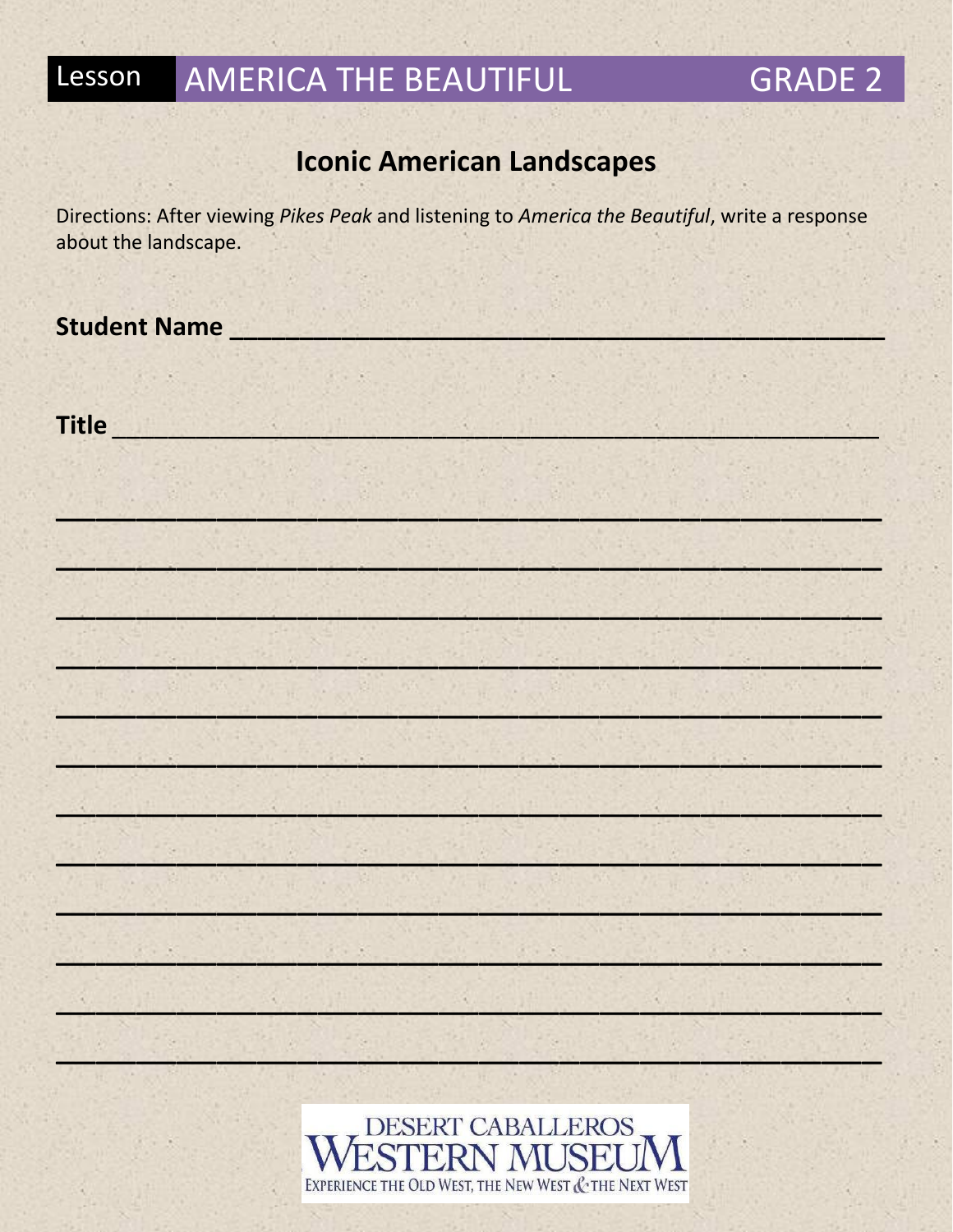### **AMERICA THE BEAUTIFUL** Lesson

# **GRADE 2**

# **Iconic American Landscapes**

Directions: After viewing Pikes Peak and listening to America the Beautiful, write a response about the landscape.

**Student Name** 

**Title Title Title**